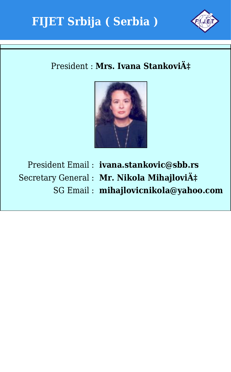



### President : Mrs. Ivana Stanković



President Email : **ivana.stankovic@sbb.rs** Secretary General : Mr. Nikola Mihajlović SG Email : **mihajlovicnikola@yahoo.com**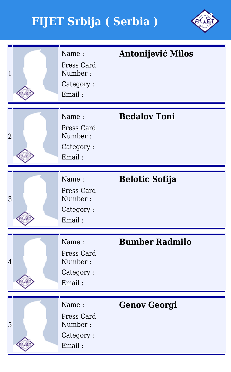

| $\overline{1}$ | Name:<br>Press Card<br>Number:<br>Category:<br>Email: | <b>Antonijević Milos</b> |
|----------------|-------------------------------------------------------|--------------------------|
| $\overline{2}$ | Name:<br>Press Card<br>Number:<br>Category:<br>Email: | <b>Bedalov Toni</b>      |
| 3              | Name:<br>Press Card<br>Number:<br>Category:<br>Email: | <b>Belotic Sofija</b>    |
| $\overline{4}$ | Name:<br>Press Card<br>Number:<br>Category:<br>Email: | <b>Bumber Radmilo</b>    |
| 5              | Name:<br>Press Card<br>Number:<br>Category:<br>Email: | <b>Genov Georgi</b>      |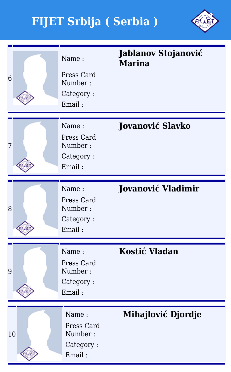

| 6  | Name:<br>Press Card<br>Number:<br>Category:<br>Email: | Jablanov Stojanović<br><b>Marina</b> |
|----|-------------------------------------------------------|--------------------------------------|
|    |                                                       |                                      |
| 7  | Name:<br>Press Card<br>Number:<br>Category:<br>Email: | <b>Jovanović Slavko</b>              |
|    |                                                       |                                      |
| 8  | Name:<br>Press Card<br>Number:<br>Category:<br>Email: | <b>Jovanović Vladimir</b>            |
|    |                                                       |                                      |
| 9  | Name:<br>Press Card<br>Number:<br>Category:<br>Email: | <b>Kostić Vladan</b>                 |
|    |                                                       |                                      |
| 10 | Name:<br>Press Card<br>Number:<br>Category:<br>Email: | Mihajlović Djordje                   |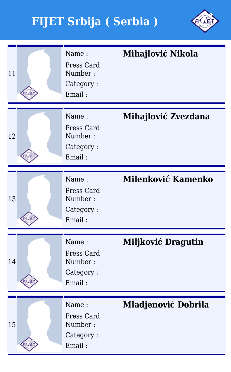

| 11 | Name:<br>Press Card<br>Number:<br>Category:<br>Email: | Mihajlović Nikola          |
|----|-------------------------------------------------------|----------------------------|
| 12 | Name:<br>Press Card<br>Number:<br>Category:<br>Email: | Mihajlović Zvezdana        |
| 13 | Name:<br>Press Card<br>Number:<br>Category:<br>Email: | Milenković Kamenko         |
| 14 | Name:<br>Press Card<br>Number:<br>Category:<br>Email: | Miljković Dragutin         |
| 15 | Name:<br>Press Card<br>Number:<br>Category:<br>Email: | <b>Mladjenović Dobrila</b> |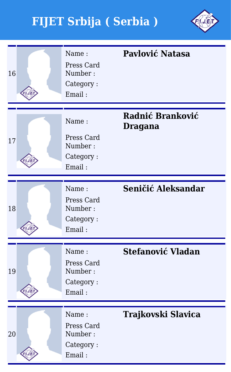

| 16 | Name:<br>Press Card<br>Number:<br>Category:<br>Email: | Pavlović Natasa             |
|----|-------------------------------------------------------|-----------------------------|
| 17 | Name:<br>Press Card<br>Number:<br>Category:<br>Email: | Radnić Branković<br>Dragana |
| 18 | Name:<br>Press Card<br>Number:<br>Category:<br>Email: | Seničić Aleksandar          |
| 19 | Name:<br>Press Card<br>Number:<br>Category:<br>Email: | <b>Stefanović Vladan</b>    |
| 20 | Name:<br>Press Card<br>Number:<br>Category:<br>Email: | Trajkovski Slavica          |